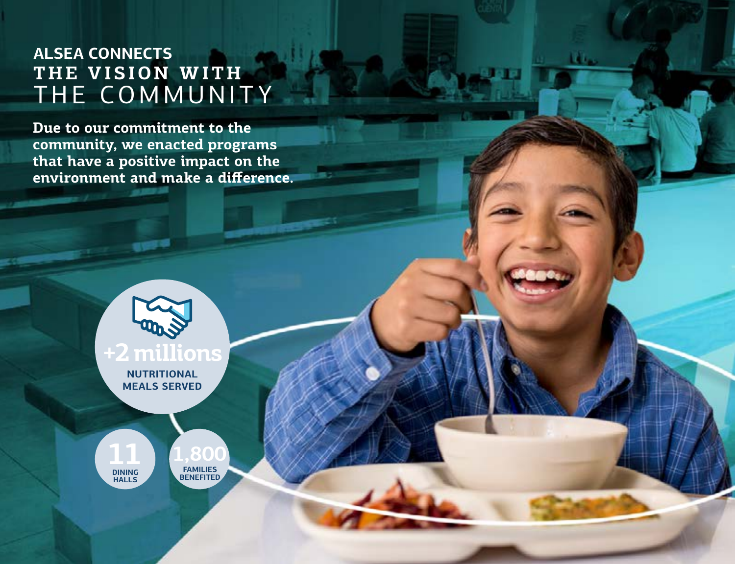## **ALSEA CONNECTS** THE VISION WITH THE COMMUNITY

**Due to our commitment to the community, we enacted programs that have a positive impact on the environment and make a difference.**

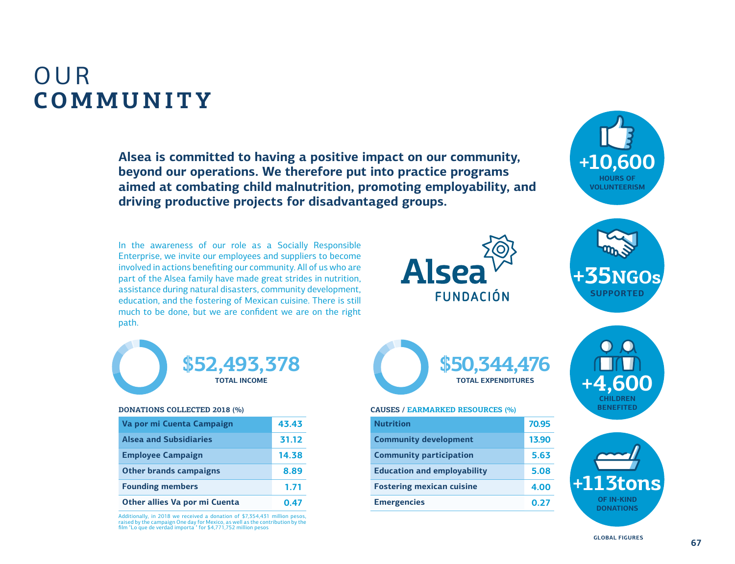# OUR **COMMUNITY**

**Alsea is committed to having a positive impact on our community, beyond our operations. We therefore put into practice programs aimed at combating child malnutrition, promoting employability, and driving productive projects for disadvantaged groups.**

In the awareness of our role as a Socially Responsible Enterprise, we invite our employees and suppliers to become involved in actions benefiting our community. All of us who are part of the Alsea family have made great strides in nutrition, assistance during natural disasters, community development, education, and the fostering of Mexican cuisine. There is still much to be done, but we are confident we are on the right path.





**+10,600**

**HOURS OF** 



#### **DONATIONS COLLECTED 2018 (%)**

| Va por mi Cuenta Campaign     | 43.43 |
|-------------------------------|-------|
| <b>Alsea and Subsidiaries</b> | 31.12 |
| <b>Employee Campaign</b>      | 14.38 |
| <b>Other brands campaigns</b> | 8.89  |
| <b>Founding members</b>       | 1.71  |
| Other allies Va por mi Cuenta | 0.47  |

Additionally, in 2018 we received a donation of \$7,354,431 million pesos, raised by the campaign One day for Mexico, as well as the contribution by the film "Lo que de verdad importa " for \$4,771,752 million pesos



#### **CAUSES / EARMARKED RESOURCES (%)**

| <b>Nutrition</b>                   | 70.95 |
|------------------------------------|-------|
| <b>Community development</b>       | 13.90 |
| <b>Community participation</b>     | 5.63  |
| <b>Education and employability</b> | 5.08  |
| <b>Fostering mexican cuisine</b>   | 4.00  |
| <b>Emergencies</b>                 | 0.27  |





**GLOBAL FIGURES**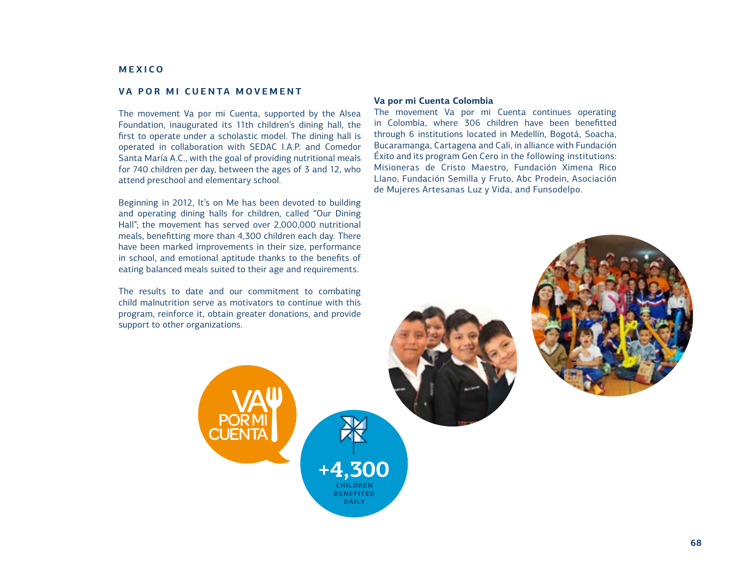## **MEXICO**

## **VA POR MI CUENTA MOVEMENT**

The movement Va por mi Cuenta, supported by the Alsea Foundation, inaugurated its 11th children's dining hall, the first to operate under a scholastic model. The dining hall is operated in collaboration with SEDAC I.A.P. and Comedor Santa María A.C., with the goal of providing nutritional meals for 740 children per day, between the ages of 3 and 12, who attend preschool and elementary school.

Beginning in 2012, It's on Me has been devoted to building and operating dining halls for children, called "Our Dining Hall"; the movement has served over 2,000,000 nutritional meals, benefitting more than 4,300 children each day. There have been marked improvements in their size, performance in school, and emotional aptitude thanks to the benefits of eating balanced meals suited to their age and requirements.

The results to date and our commitment to combating child malnutrition serve as motivators to continue with this program, reinforce it, obtain greater donations, and provide support to other organizations.

> **+4,300 CHILDREN BENEFITED DAILY**

#### **Va por mi Cuenta Colombia**

The movement Va por mi Cuenta continues operating in Colombia, where 306 children have been benefitted through 6 institutions located in Medellín, Bogotá, Soacha, Bucaramanga, Cartagena and Cali, in alliance with Fundación Éxito and its program Gen Cero in the following institutions: Misioneras de Cristo Maestro, Fundación Ximena Rico Llano, Fundación Semilla y Fruto, Abc Prodein, Asociación de Mujeres Artesanas Luz y Vida, and Funsodelpo.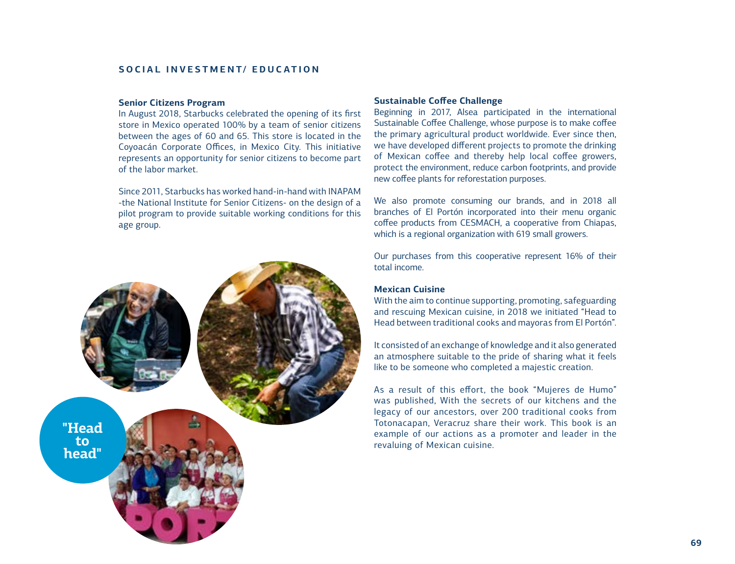## **SOCIAL INVESTMENT/ EDUCATION**

#### **Senior Citizens Program**

In August 2018, Starbucks celebrated the opening of its first store in Mexico operated 100% by a team of senior citizens between the ages of 60 and 65. This store is located in the Coyoacán Corporate Offices, in Mexico City. This initiative represents an opportunity for senior citizens to become part of the labor market.

Since 2011, Starbucks has worked hand-in-hand with INAPAM -the National Institute for Senior Citizens- on the design of a pilot program to provide suitable working conditions for this age group.



#### **Sustainable Coffee Challenge**

Beginning in 2017, Alsea participated in the international Sustainable Coffee Challenge, whose purpose is to make coffee the primary agricultural product worldwide. Ever since then, we have developed different projects to promote the drinking of Mexican coffee and thereby help local coffee growers, protect the environment, reduce carbon footprints, and provide new coffee plants for reforestation purposes.

We also promote consuming our brands, and in 2018 all branches of El Portón incorporated into their menu organic coffee products from CESMACH, a cooperative from Chiapas, which is a regional organization with 619 small growers.

Our purchases from this cooperative represent 16% of their total income.

## **Mexican Cuisine**

With the aim to continue supporting, promoting, safeguarding and rescuing Mexican cuisine, in 2018 we initiated "Head to Head between traditional cooks and mayoras from El Portón".

It consisted of an exchange of knowledge and it also generated an atmosphere suitable to the pride of sharing what it feels like to be someone who completed a majestic creation.

As a result of this effort, the book "Mujeres de Humo" was published, With the secrets of our kitchens and the legacy of our ancestors, over 200 traditional cooks from Totonacapan, Veracruz share their work. This book is an example of our actions as a promoter and leader in the revaluing of Mexican cuisine.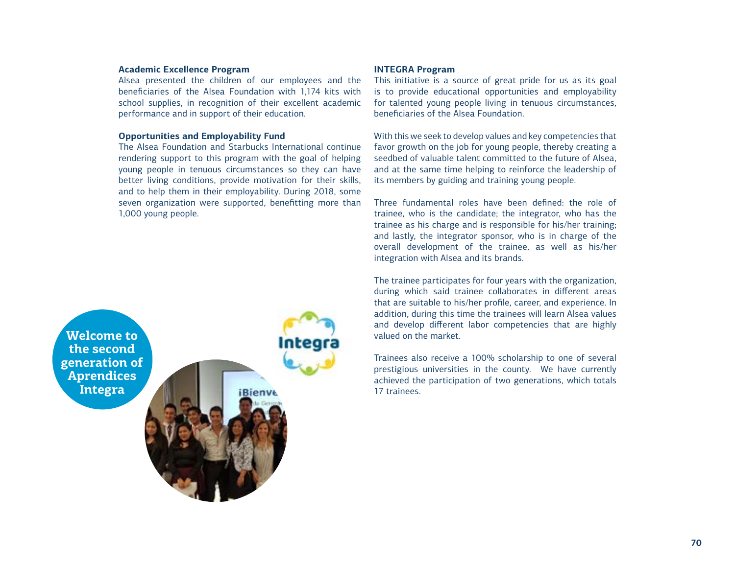## **Academic Excellence Program**

Alsea presented the children of our employees and the beneficiaries of the Alsea Foundation with 1,174 kits with school supplies, in recognition of their excellent academic performance and in support of their education.

#### **Opportunities and Employability Fund**

The Alsea Foundation and Starbucks International continue rendering support to this program with the goal of helping young people in tenuous circumstances so they can have better living conditions, provide motivation for their skills, and to help them in their employability. During 2018, some seven organization were supported, benefitting more than 1,000 young people.



Integra **iBienve** 

## **INTEGRA Program**

This initiative is a source of great pride for us as its goal is to provide educational opportunities and employability for talented young people living in tenuous circumstances, beneficiaries of the Alsea Foundation.

With this we seek to develop values and key competencies that favor growth on the job for young people, thereby creating a seedbed of valuable talent committed to the future of Alsea, and at the same time helping to reinforce the leadership of its members by guiding and training young people.

Three fundamental roles have been defined: the role of trainee, who is the candidate; the integrator, who has the trainee as his charge and is responsible for his/her training; and lastly, the integrator sponsor, who is in charge of the overall development of the trainee, as well as his/her integration with Alsea and its brands.

The trainee participates for four years with the organization, during which said trainee collaborates in different areas that are suitable to his/her profile, career, and experience. In addition, during this time the trainees will learn Alsea values and develop different labor competencies that are highly valued on the market.

Trainees also receive a 100% scholarship to one of several prestigious universities in the county. We have currently achieved the participation of two generations, which totals 17 trainees.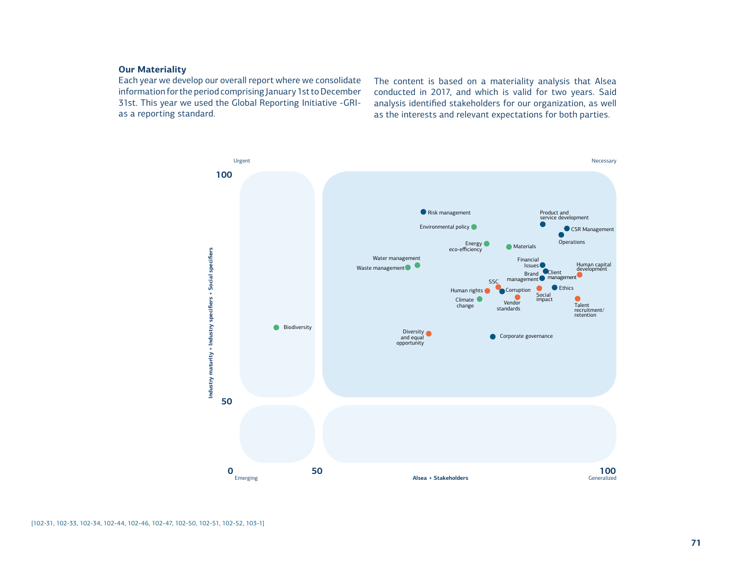## **Our Materiality**

Each year we develop our overall report where we consolidate information for the period comprising January 1st to December 31st. This year we used the Global Reporting Initiative -GRIas a reporting standard.

The content is based on a materiality analysis that Alsea conducted in 2017, and which is valid for two years. Said analysis identified stakeholders for our organization, as well as the interests and relevant expectations for both parties.

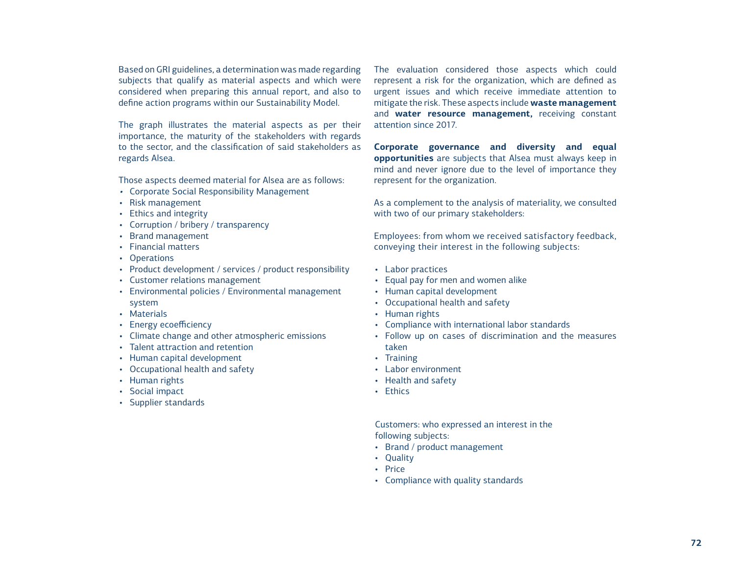Based on GRI guidelines, a determination was made regarding subjects that qualify as material aspects and which were considered when preparing this annual report, and also to define action programs within our Sustainability Model.

The graph illustrates the material aspects as per their importance, the maturity of the stakeholders with regards to the sector, and the classification of said stakeholders as regards Alsea.

Those aspects deemed material for Alsea are as follows:

- Corporate Social Responsibility Management
- Risk management
- Ethics and integrity
- Corruption / bribery / transparency
- Brand management
- Financial matters
- Operations
- Product development / services / product responsibility
- Customer relations management
- Environmental policies / Environmental management system
- Materials
- Energy ecoefficiency
- Climate change and other atmospheric emissions
- Talent attraction and retention
- Human capital development
- Occupational health and safety
- Human rights
- Social impact
- Supplier standards

The evaluation considered those aspects which could represent a risk for the organization, which are defined as urgent issues and which receive immediate attention to mitigate the risk. These aspects include **waste management**  and **water resource management,** receiving constant attention since 2017.

**Corporate governance and diversity and equal opportunities** are subjects that Alsea must always keep in mind and never ignore due to the level of importance they represent for the organization.

As a complement to the analysis of materiality, we consulted with two of our primary stakeholders:

Employees: from whom we received satisfactory feedback, conveying their interest in the following subjects:

- Labor practices
- Equal pay for men and women alike
- Human capital development
- Occupational health and safety
- Human rights
- Compliance with international labor standards
- Follow up on cases of discrimination and the measures taken
- Training
- Labor environment
- Health and safety
- Ethics

Customers: who expressed an interest in the following subjects:

- Brand / product management
- Quality
- Price
- Compliance with quality standards